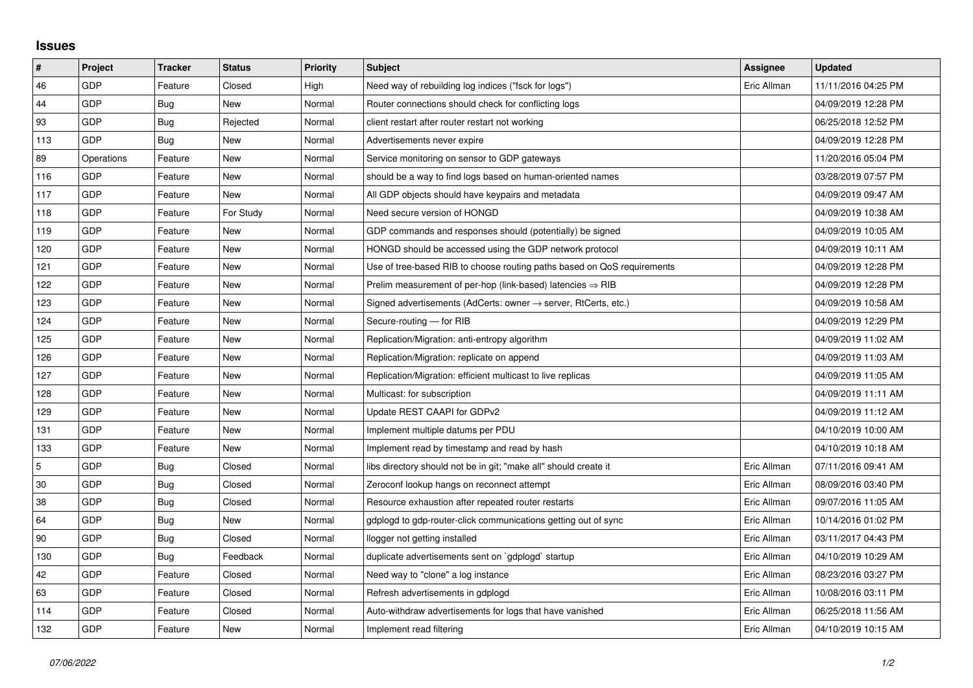## **Issues**

| #   | Project    | <b>Tracker</b> | <b>Status</b> | <b>Priority</b> | <b>Subject</b>                                                          | <b>Assignee</b> | <b>Updated</b>      |
|-----|------------|----------------|---------------|-----------------|-------------------------------------------------------------------------|-----------------|---------------------|
| 46  | GDP        | Feature        | Closed        | High            | Need way of rebuilding log indices ("fsck for logs")                    | Eric Allman     | 11/11/2016 04:25 PM |
| 44  | GDP        | Bug            | New           | Normal          | Router connections should check for conflicting logs                    |                 | 04/09/2019 12:28 PM |
| 93  | GDP        | Bug            | Rejected      | Normal          | client restart after router restart not working                         |                 | 06/25/2018 12:52 PM |
| 113 | GDP        | <b>Bug</b>     | <b>New</b>    | Normal          | Advertisements never expire                                             |                 | 04/09/2019 12:28 PM |
| 89  | Operations | Feature        | New           | Normal          | Service monitoring on sensor to GDP gateways                            |                 | 11/20/2016 05:04 PM |
| 116 | GDP        | Feature        | New           | Normal          | should be a way to find logs based on human-oriented names              |                 | 03/28/2019 07:57 PM |
| 117 | GDP        | Feature        | <b>New</b>    | Normal          | All GDP objects should have keypairs and metadata                       |                 | 04/09/2019 09:47 AM |
| 118 | GDP        | Feature        | For Study     | Normal          | Need secure version of HONGD                                            |                 | 04/09/2019 10:38 AM |
| 119 | GDP        | Feature        | <b>New</b>    | Normal          | GDP commands and responses should (potentially) be signed               |                 | 04/09/2019 10:05 AM |
| 120 | GDP        | Feature        | New           | Normal          | HONGD should be accessed using the GDP network protocol                 |                 | 04/09/2019 10:11 AM |
| 121 | GDP        | Feature        | New           | Normal          | Use of tree-based RIB to choose routing paths based on QoS requirements |                 | 04/09/2019 12:28 PM |
| 122 | GDP        | Feature        | New           | Normal          | Prelim measurement of per-hop (link-based) latencies $\Rightarrow$ RIB  |                 | 04/09/2019 12:28 PM |
| 123 | GDP        | Feature        | New           | Normal          | Signed advertisements (AdCerts: owner → server, RtCerts, etc.)          |                 | 04/09/2019 10:58 AM |
| 124 | GDP        | Feature        | New           | Normal          | Secure-routing - for RIB                                                |                 | 04/09/2019 12:29 PM |
| 125 | GDP        | Feature        | <b>New</b>    | Normal          | Replication/Migration: anti-entropy algorithm                           |                 | 04/09/2019 11:02 AM |
| 126 | GDP        | Feature        | New           | Normal          | Replication/Migration: replicate on append                              |                 | 04/09/2019 11:03 AM |
| 127 | GDP        | Feature        | New           | Normal          | Replication/Migration: efficient multicast to live replicas             |                 | 04/09/2019 11:05 AM |
| 128 | GDP        | Feature        | New           | Normal          | Multicast: for subscription                                             |                 | 04/09/2019 11:11 AM |
| 129 | GDP        | Feature        | New           | Normal          | Update REST CAAPI for GDPv2                                             |                 | 04/09/2019 11:12 AM |
| 131 | GDP        | Feature        | New           | Normal          | Implement multiple datums per PDU                                       |                 | 04/10/2019 10:00 AM |
| 133 | GDP        | Feature        | New           | Normal          | Implement read by timestamp and read by hash                            |                 | 04/10/2019 10:18 AM |
| 5   | GDP        | Bug            | Closed        | Normal          | libs directory should not be in git; "make all" should create it        | Eric Allman     | 07/11/2016 09:41 AM |
| 30  | GDP        | Bug            | Closed        | Normal          | Zeroconf lookup hangs on reconnect attempt                              | Eric Allman     | 08/09/2016 03:40 PM |
| 38  | GDP        | Bug            | Closed        | Normal          | Resource exhaustion after repeated router restarts                      | Eric Allman     | 09/07/2016 11:05 AM |
| 64  | GDP        | <b>Bug</b>     | New           | Normal          | gdplogd to gdp-router-click communications getting out of sync          | Eric Allman     | 10/14/2016 01:02 PM |
| 90  | GDP        | Bug            | Closed        | Normal          | llogger not getting installed                                           | Eric Allman     | 03/11/2017 04:43 PM |
| 130 | GDP        | Bug            | Feedback      | Normal          | duplicate advertisements sent on `gdplogd` startup                      | Eric Allman     | 04/10/2019 10:29 AM |
| 42  | GDP        | Feature        | Closed        | Normal          | Need way to "clone" a log instance                                      | Eric Allman     | 08/23/2016 03:27 PM |
| 63  | GDP        | Feature        | Closed        | Normal          | Refresh advertisements in gdplogd                                       | Eric Allman     | 10/08/2016 03:11 PM |
| 114 | GDP        | Feature        | Closed        | Normal          | Auto-withdraw advertisements for logs that have vanished                | Eric Allman     | 06/25/2018 11:56 AM |
| 132 | GDP        | Feature        | New           | Normal          | Implement read filtering                                                | Eric Allman     | 04/10/2019 10:15 AM |